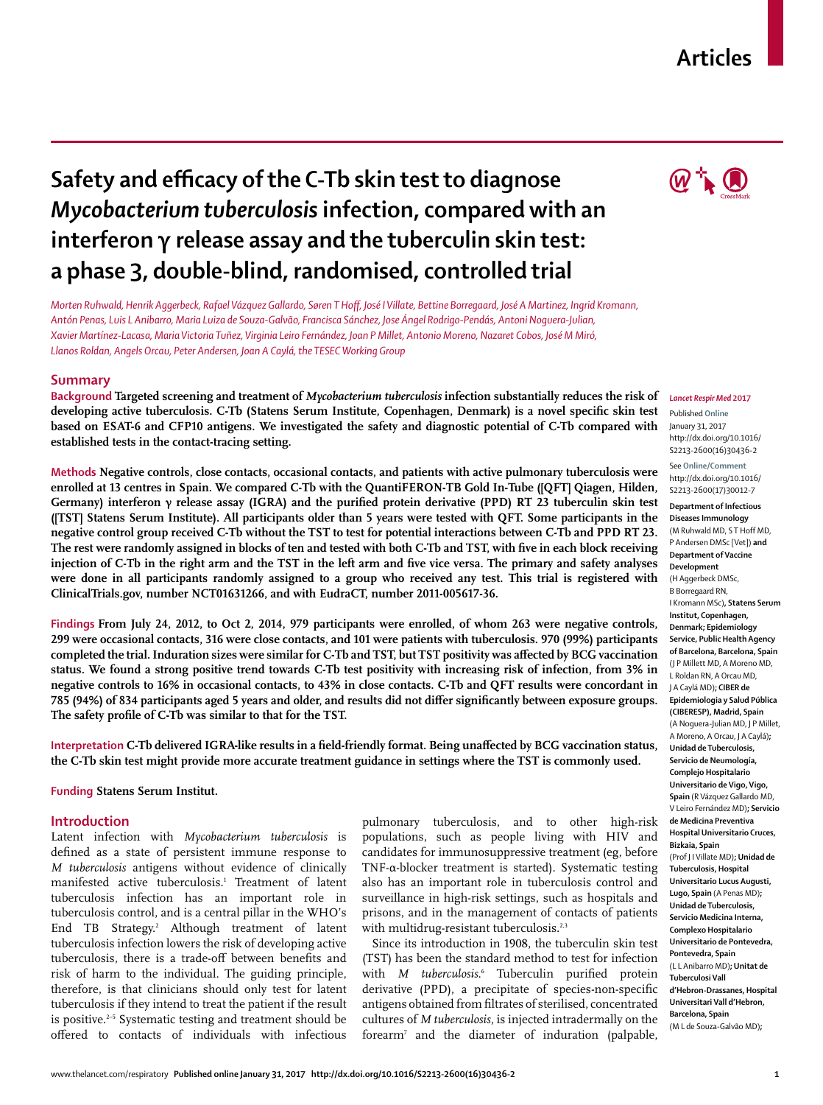# **Articles**

# **Safety and efficacy of the C-Tb skin test to diagnose** *Mycobacterium tuberculosis* **infection, compared with an interferon γ release assay and the tuberculin skin test: a phase 3, double-blind, randomised, controlled trial**

 *Morten Ruhwald, Henrik Aggerbeck, Rafael Vázquez Gallardo, Søren T Hoff , José I Villate, Bettine Borregaard, José A Martinez, Ingrid Kromann, Antón Penas, Luis L Anibarro, Maria Luiza de Souza-Galvão, Francisca Sánchez, Jose Ángel Rodrigo-Pendás, Antoni Noguera-Julian, Xavier Martínez-Lacasa, Maria Victoria Tuñez, Virginia Leiro Fernández, Joan P Millet, Antonio Moreno, Nazaret Cobos, José M Miró, Llanos Roldan, Angels Orcau, Peter Andersen, Joan A Caylá, the TESEC Working Group*

# **Summary**

**Background Targeted screening and treatment of** *Mycobacterium tuberculosis* **infection substantially reduces the risk of**  developing active tuberculosis. C-Tb (Statens Serum Institute, Copenhagen, Denmark) is a novel specific skin test **based on ESAT-6 and CFP10 antigens. We investigated the safety and diagnostic potential of C-Tb compared with established tests in the contact-tracing setting.**

**Methods Negative controls, close contacts, occasional contacts, and patients with active pulmonary tuberculosis were enrolled at 13 centres in Spain. We compared C-Tb with the QuantiFERON-TB Gold In-Tube ([QFT] Qiagen, Hilden,**  Germany) interferon γ release assay (IGRA) and the purified protein derivative (PPD) RT 23 tuberculin skin test **([TST] Statens Serum Institute). All participants older than 5 years were tested with QFT. Some participants in the negative control group received C-Tb without the TST to test for potential interactions between C-Tb and PPD RT 23.**  The rest were randomly assigned in blocks of ten and tested with both C-Tb and TST, with five in each block receiving injection of C-Tb in the right arm and the TST in the left arm and five vice versa. The primary and safety analyses **were done in all participants randomly assigned to a group who received any test. This trial is registered with ClinicalTrials.gov, number NCT01631266, and with EudraCT, number 2011-005617-36.**

**Findings From July 24, 2012, to Oct 2, 2014, 979 participants were enrolled, of whom 263 were negative controls, 299 were occasional contacts, 316 were close contacts, and 101 were patients with tuberculosis. 970 (99%) participants completed the trial. Induration sizes were similar for C-Tb and TST, but TST positivity was affected by BCG vaccination status. We found a strong positive trend towards C-Tb test positivity with increasing risk of infection, from 3% in negative controls to 16% in occasional contacts, to 43% in close contacts. C-Tb and QFT results were concordant in**  785 (94%) of 834 participants aged 5 years and older, and results did not differ significantly between exposure groups. The safety profile of C-Tb was similar to that for the TST.

Interpretation C-Tb delivered IGRA-like results in a field-friendly format. Being unaffected by BCG vaccination status, **the C-Tb skin test might provide more accurate treatment guidance in settings where the TST is commonly used.**

## **Funding Statens Serum Institut.**

# **Introduction**

Latent infection with *Mycobacterium tuberculosis* is defined as a state of persistent immune response to *M tuberculosis* antigens without evidence of clinically manifested active tuberculosis.1 Treatment of latent tuberculosis infection has an important role in tuberculosis control, and is a central pillar in the WHO's End TB Strategy.2 Although treatment of latent tuberculosis infection lowers the risk of developing active tuberculosis, there is a trade-off between benefits and risk of harm to the individual. The guiding principle, therefore, is that clinicians should only test for latent tuberculosis if they intend to treat the patient if the result is positive.2–5 Systematic testing and treatment should be offered to contacts of individuals with infectious

pulmonary tuberculosis, and to other high-risk populations, such as people living with HIV and candidates for immunosuppressive treatment (eg, before TNF-α-blocker treatment is started). Systematic testing also has an important role in tuberculosis control and surveillance in high-risk settings, such as hospitals and prisons, and in the management of contacts of patients with multidrug-resistant tuberculosis.<sup>2,3</sup>

Since its introduction in 1908, the tuberculin skin test (TST) has been the standard method to test for infection with M tuberculosis.<sup>6</sup> Tuberculin purified protein derivative (PPD), a precipitate of species-non-specific antigens obtained from filtrates of sterilised, concentrated cultures of *M tuberculosis*, is injected intradermally on the forearm7 and the diameter of induration (palpable,



#### *Lancet Respir Med* **2017**

Published **Online** January 31, 2017 http://dx.doi.org/10.1016/ S2213-2600(16)30436-2

See **Online/Comment** http://dx.doi.org/10.1016/ S2213-2600(17)30012-7 **Department of Infectious** 

#### **Diseases Immunology** (M Ruhwald MD, S T Hoff MD, P Andersen DMSc [Vet]) **and Department of Vaccine Development** (H Aggerbeck DMSc, B Borregaard RN, I Kromann MSc)**, Statens Serum Institut, Copenhagen, Denmark; Epidemiology Service, Public Health Agency of Barcelona, Barcelona, Spain** (J P Millett MD, A Moreno MD, L Roldan RN, A Orcau MD, J A Caylá MD)**; CIBER de Epidemiologia y Salud Pública (CIBERESP), Madrid, Spain** (A Noguera-Julian MD, J P Millet, A Moreno, A Orcau, J A Caylá)**; Unidad de Tuberculosis, Servicio de Neumología, Complejo Hospitalario Universitario de Vigo, Vigo, Spain** (R Vázquez Gallardo MD, V Leiro Fernández MD)**; Servicio de Medicina Preventiva Hospital Universitario Cruces, Bizkaia, Spain** (Prof J I Villate MD)**; Unidad de Tuberculosis, Hospital Universitario Lucus Augusti, Lugo, Spain** (A Penas MD)**; Unidad de Tuberculosis, Servicio Medicina Interna, Complexo Hospitalario Universitario de Pontevedra, Pontevedra, Spain** (L L Anibarro MD)**; Unitat de Tuberculosi Vall d'Hebron-Drassanes, Hospital Universitari Vall d'Hebron, Barcelona, Spain** (M L de Souza-Galvão MD)**;**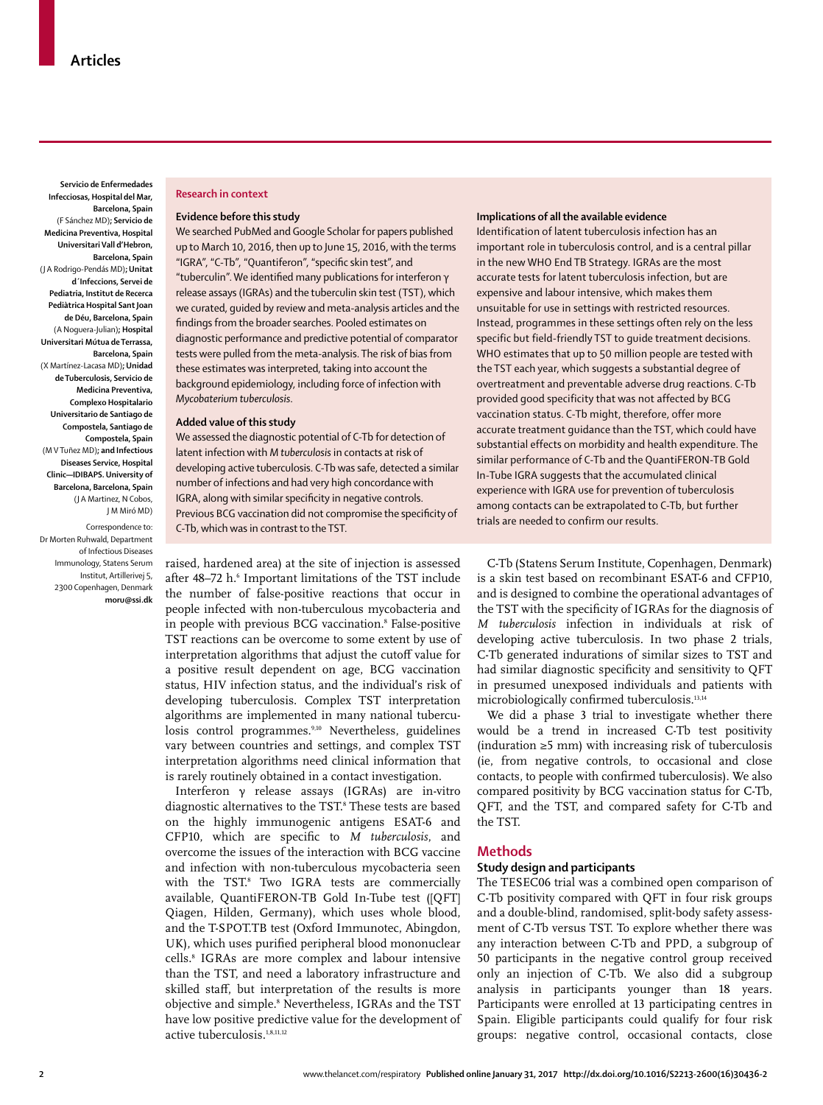**Servicio de Enfermedades Infecciosas, Hospital del Mar, Barcelona, Spain** (F Sánchez MD)**; Servicio de Medicina Preventiva, Hospital Universitari Vall d'Hebron, Barcelona, Spain** (J A Rodrigo-Pendás MD)**; Unitat d´Infeccions, Servei de Pediatria, Institut de Recerca Pediàtrica Hospital Sant Joan de Déu, Barcelona, Spain** (A Noguera-Julian)**; Hospital Universitari Mútua de Terrassa, Barcelona, Spain** (X Martínez-Lacasa MD)**; Unidad de Tuberculosis, Servicio de Medicina Preventiva, Complexo Hospitalario Universitario de Santiago de Compostela, Santiago de Compostela, Spain** (M V Tuñez MD)**; and Infectious Diseases Service, Hospital Clinic—IDIBAPS. University of Barcelona, Barcelona, Spain** (J A Martinez, N Cobos, J M Miró MD)

Correspondence to: Dr Morten Ruhwald, Department of Infectious Diseases Immunology, Statens Serum Institut, Artillerivej 5, 2300 Copenhagen, Denmark **moru@ssi.dk**

# **Research in context**

## **Evidence before this study**

We searched PubMed and Google Scholar for papers published up to March 10, 2016, then up to June 15, 2016, with the terms "IGRA", "C-Tb", "Quantiferon", "specific skin test", and "tuberculin". We identified many publications for interferon  $\gamma$ release assays (IGRAs) and the tuberculin skin test (TST), which we curated, guided by review and meta-analysis articles and the findings from the broader searches. Pooled estimates on diagnostic performance and predictive potential of comparator tests were pulled from the meta-analysis. The risk of bias from these estimates was interpreted, taking into account the background epidemiology, including force of infection with *Mycobaterium tuberculosis*.

#### **Added value of this study**

We assessed the diagnostic potential of C-Tb for detection of latent infection with *M tuberculosis* in contacts at risk of developing active tuberculosis. C-Tb was safe, detected a similar number of infections and had very high concordance with IGRA, along with similar specificity in negative controls. Previous BCG vaccination did not compromise the specificity of C-Tb, which was in contrast to the TST.

raised, hardened area) at the site of injection is assessed after 48–72 h.º Important limitations of the TST include the number of false-positive reactions that occur in people infected with non-tuberculous mycobacteria and in people with previous BCG vaccination.8 False-positive TST reactions can be overcome to some extent by use of interpretation algorithms that adjust the cutoff value for a positive result dependent on age, BCG vaccination status, HIV infection status, and the individual's risk of developing tuberculosis. Complex TST interpretation algorithms are implemented in many national tuberculosis control programmes.<sup>9,10</sup> Nevertheless, guidelines vary between countries and settings, and complex TST interpretation algorithms need clinical information that is rarely routinely obtained in a contact investigation.

Interferon γ release assays (IGRAs) are in-vitro diagnostic alternatives to the TST.8 These tests are based on the highly immunogenic antigens ESAT-6 and CFP10, which are specific to  $\overline{M}$  tuberculosis. and overcome the issues of the interaction with BCG vaccine and infection with non-tuberculous mycobacteria seen with the TST.8 Two IGRA tests are commercially available, QuantiFERON-TB Gold In-Tube test ([QFT] Qiagen, Hilden, Germany), which uses whole blood, and the T-SPOT.TB test (Oxford Immunotec, Abingdon, UK), which uses purified peripheral blood mononuclear cells.8 IGRAs are more complex and labour intensive than the TST, and need a laboratory infrastructure and skilled staff, but interpretation of the results is more objective and simple.8 Nevertheless, IGRAs and the TST have low positive predictive value for the development of active tuberculosis.<sup>1,8,11,12</sup>

#### **Implications of all the available evidence**

Identification of latent tuberculosis infection has an important role in tuberculosis control, and is a central pillar in the new WHO End TB Strategy. IGRAs are the most accurate tests for latent tuberculosis infection, but are expensive and labour intensive, which makes them unsuitable for use in settings with restricted resources. Instead, programmes in these settings often rely on the less specific but field-friendly TST to guide treatment decisions. WHO estimates that up to 50 million people are tested with the TST each year, which suggests a substantial degree of overtreatment and preventable adverse drug reactions. C-Tb provided good specificity that was not affected by BCG vaccination status. C-Tb might, therefore, offer more accurate treatment guidance than the TST, which could have substantial effects on morbidity and health expenditure. The similar performance of C-Tb and the QuantiFERON-TB Gold In-Tube IGRA suggests that the accumulated clinical experience with IGRA use for prevention of tuberculosis among contacts can be extrapolated to C-Tb, but further trials are needed to confirm our results.

C-Tb (Statens Serum Institute, Copenhagen, Denmark) is a skin test based on recombinant ESAT-6 and CFP10, and is designed to combine the operational advantages of the TST with the specificity of IGRAs for the diagnosis of *M tuberculosis* infection in individuals at risk of developing active tuberculosis. In two phase 2 trials, C-Tb generated indurations of similar sizes to TST and had similar diagnostic specificity and sensitivity to QFT in presumed unexposed individuals and patients with microbiologically confirmed tuberculosis.<sup>13,14</sup>

We did a phase 3 trial to investigate whether there would be a trend in increased C-Tb test positivity (induration ≥5 mm) with increasing risk of tuberculosis (ie, from negative controls, to occasional and close contacts, to people with confirmed tuberculosis). We also compared positivity by BCG vaccination status for C-Tb, QFT, and the TST, and compared safety for C-Tb and the TST.

# **Methods**

# **Study design and participants**

The TESEC06 trial was a combined open comparison of C-Tb positivity compared with QFT in four risk groups and a double-blind, randomised, split-body safety assessment of C-Tb versus TST. To explore whether there was any interaction between C-Tb and PPD, a subgroup of 50 participants in the negative control group received only an injection of C-Tb. We also did a subgroup analysis in participants younger than 18 years. Participants were enrolled at 13 participating centres in Spain. Eligible participants could qualify for four risk groups: negative control, occasional contacts, close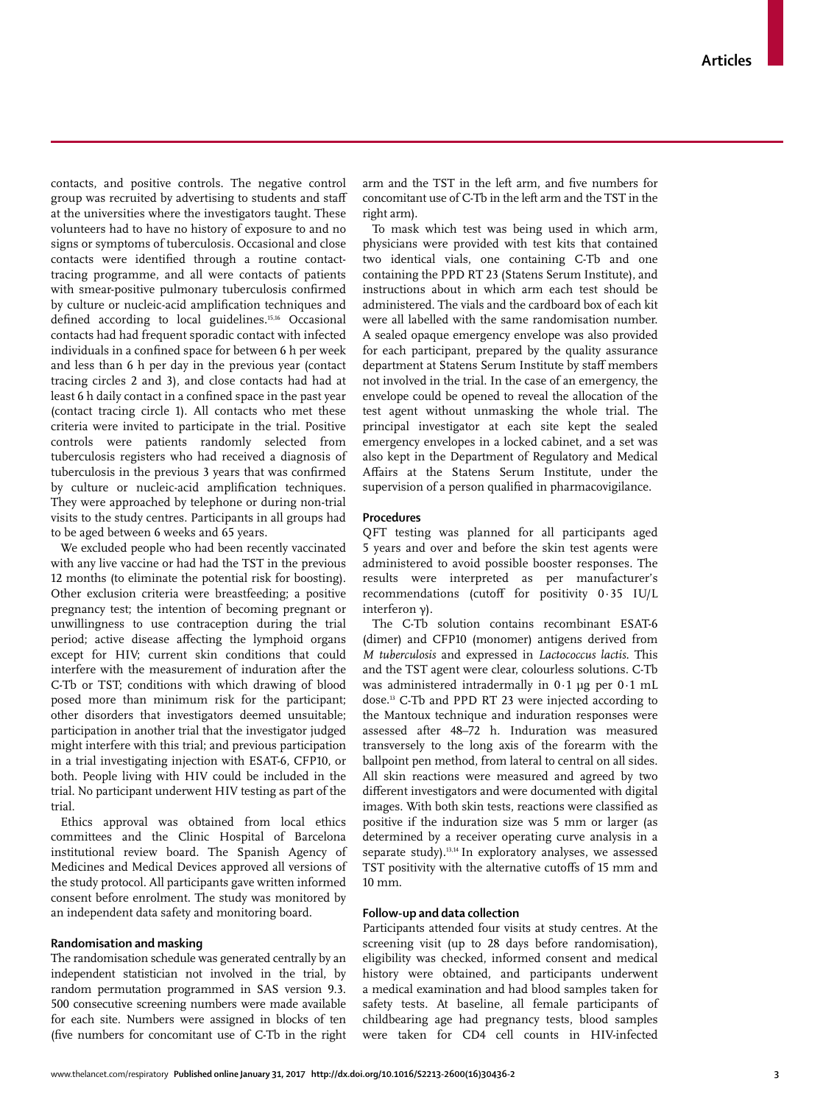contacts, and positive controls. The negative control group was recruited by advertising to students and staff at the universities where the investigators taught. These volunteers had to have no history of exposure to and no signs or symptoms of tuberculosis. Occasional and close contacts were identified through a routine contacttracing programme, and all were contacts of patients with smear-positive pulmonary tuberculosis confirmed by culture or nucleic-acid amplification techniques and defined according to local guidelines.<sup>15,16</sup> Occasional contacts had had frequent sporadic contact with infected individuals in a confined space for between 6 h per week and less than 6 h per day in the previous year (contact tracing circles 2 and 3), and close contacts had had at least 6 h daily contact in a confined space in the past year (contact tracing circle 1). All contacts who met these criteria were invited to participate in the trial. Positive controls were patients randomly selected from tuberculosis registers who had received a diagnosis of tuberculosis in the previous 3 years that was confirmed by culture or nucleic-acid amplification techniques. They were approached by telephone or during non-trial visits to the study centres. Participants in all groups had to be aged between 6 weeks and 65 years.

We excluded people who had been recently vaccinated with any live vaccine or had had the TST in the previous 12 months (to eliminate the potential risk for boosting). Other exclusion criteria were breastfeeding; a positive pregnancy test; the intention of becoming pregnant or unwillingness to use contraception during the trial period; active disease affecting the lymphoid organs except for HIV; current skin conditions that could interfere with the measurement of induration after the C-Tb or TST; conditions with which drawing of blood posed more than minimum risk for the participant; other disorders that investigators deemed unsuitable; participation in another trial that the investigator judged might interfere with this trial; and previous participation in a trial investigating injection with ESAT-6, CFP10, or both. People living with HIV could be included in the trial. No participant underwent HIV testing as part of the trial.

Ethics approval was obtained from local ethics committees and the Clinic Hospital of Barcelona institutional review board. The Spanish Agency of Medicines and Medical Devices approved all versions of the study protocol. All participants gave written informed consent before enrolment. The study was monitored by an independent data safety and monitoring board.

# **Randomisation and masking**

The randomisation schedule was generated centrally by an independent statistician not involved in the trial, by random permutation programmed in SAS version 9.3. 500 consecutive screening numbers were made available for each site. Numbers were assigned in blocks of ten (five numbers for concomitant use of C-Tb in the right arm and the TST in the left arm, and five numbers for concomitant use of C-Tb in the left arm and the TST in the right arm).

To mask which test was being used in which arm, physicians were provided with test kits that contained two identical vials, one containing C-Tb and one containing the PPD RT 23 (Statens Serum Institute), and instructions about in which arm each test should be administered. The vials and the cardboard box of each kit were all labelled with the same randomisation number. A sealed opaque emergency envelope was also provided for each participant, prepared by the quality assurance department at Statens Serum Institute by staff members not involved in the trial. In the case of an emergency, the envelope could be opened to reveal the allocation of the test agent without unmasking the whole trial. The principal investigator at each site kept the sealed emergency envelopes in a locked cabinet, and a set was also kept in the Department of Regulatory and Medical Affairs at the Statens Serum Institute, under the supervision of a person qualified in pharmacovigilance.

# **Procedures**

QFT testing was planned for all participants aged 5 years and over and before the skin test agents were administered to avoid possible booster responses. The results were interpreted as per manufacturer's recommendations (cutoff for positivity 0·35 IU/L interferon γ).

The C-Tb solution contains recombinant ESAT-6 (dimer) and CFP10 (monomer) antigens derived from *M tuberculosis* and expressed in *Lactococcus lactis*. This and the TST agent were clear, colourless solutions. C-Tb was administered intradermally in 0·1 μg per 0·1 mL dose.13 C-Tb and PPD RT 23 were injected according to the Mantoux technique and induration responses were assessed after 48–72 h. Induration was measured transversely to the long axis of the forearm with the ballpoint pen method, from lateral to central on all sides. All skin reactions were measured and agreed by two different investigators and were documented with digital images. With both skin tests, reactions were classified as positive if the induration size was 5 mm or larger (as determined by a receiver operating curve analysis in a separate study).<sup>13,14</sup> In exploratory analyses, we assessed TST positivity with the alternative cutoffs of 15 mm and  $10 \text{ mm}$ 

# **Follow-up and data collection**

Participants attended four visits at study centres. At the screening visit (up to 28 days before randomisation), eligibility was checked, informed consent and medical history were obtained, and participants underwent a medical examination and had blood samples taken for safety tests. At baseline, all female participants of childbearing age had pregnancy tests, blood samples were taken for CD4 cell counts in HIV-infected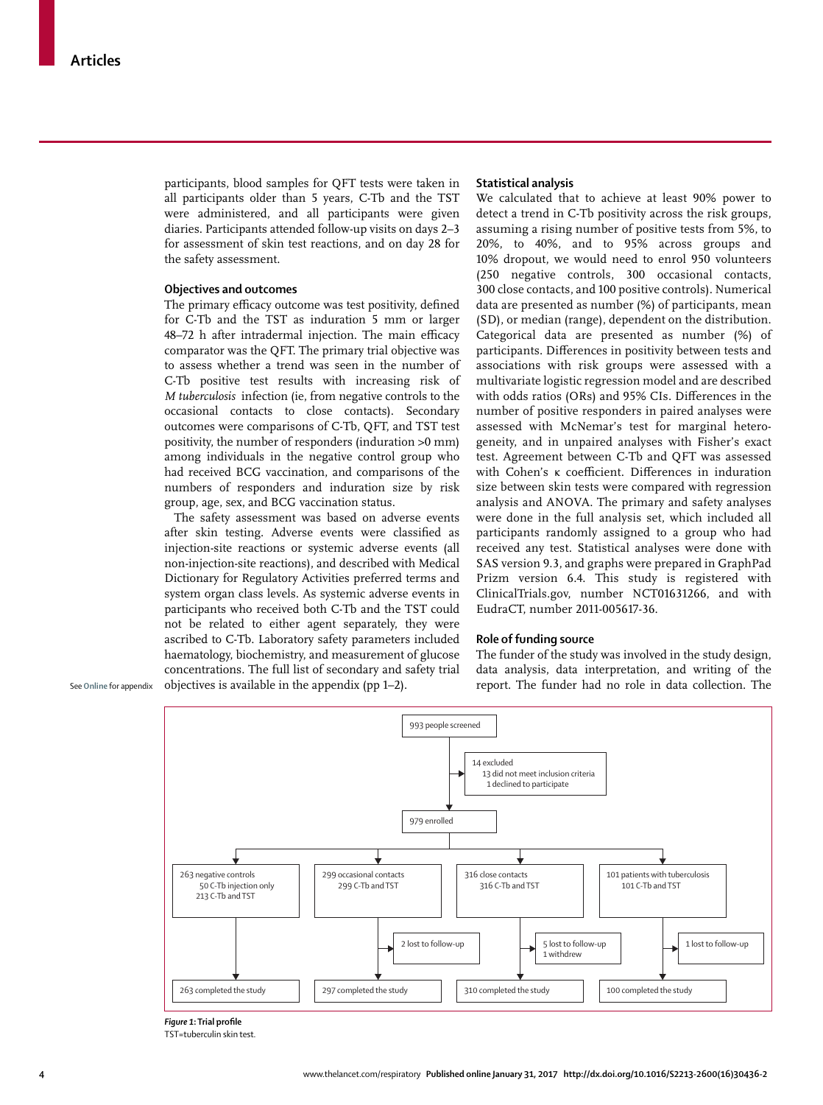participants, blood samples for QFT tests were taken in all participants older than 5 years, C-Tb and the TST were administered, and all participants were given diaries. Participants attended follow-up visits on days 2–3 for assessment of skin test reactions, and on day 28 for the safety assessment.

# **Objectives and outcomes**

The primary efficacy outcome was test positivity, defined for C-Tb and the TST as induration 5 mm or larger 48–72 h after intradermal injection. The main efficacy comparator was the QFT. The primary trial objective was to assess whether a trend was seen in the number of C-Tb positive test results with increasing risk of *M tuberculosis* infection (ie, from negative controls to the occasional contacts to close contacts). Secondary outcomes were comparisons of C-Tb, QFT, and TST test positivity, the number of responders (induration >0 mm) among individuals in the negative control group who had received BCG vaccination, and comparisons of the numbers of responders and induration size by risk group, age, sex, and BCG vaccination status.

The safety assessment was based on adverse events after skin testing. Adverse events were classified as injection-site reactions or systemic adverse events (all non-injection-site reactions), and described with Medical Dictionary for Regulatory Activities preferred terms and system organ class levels. As systemic adverse events in participants who received both C-Tb and the TST could not be related to either agent separately, they were ascribed to C-Tb. Laboratory safety parameters included haematology, biochemistry, and measurement of glucose concentrations. The full list of secondary and safety trial objectives is available in the appendix (pp 1–2).

# **Statistical analysis**

We calculated that to achieve at least 90% power to detect a trend in C-Tb positivity across the risk groups, assuming a rising number of positive tests from 5%, to 20%, to 40%, and to 95% across groups and 10% dropout, we would need to enrol 950 volunteers (250 negative controls, 300 occasional contacts, 300 close contacts, and 100 positive controls). Numerical data are presented as number (%) of participants, mean (SD), or median (range), dependent on the distribution. Categorical data are presented as number (%) of participants. Differences in positivity between tests and associations with risk groups were assessed with a multivariate logistic regression model and are described with odds ratios (ORs) and 95% CIs. Differences in the number of positive responders in paired analyses were assessed with McNemar's test for marginal heterogeneity, and in unpaired analyses with Fisher's exact test. Agreement between C-Tb and QFT was assessed with Cohen's κ coefficient. Differences in induration size between skin tests were compared with regression analysis and ANOVA. The primary and safety analyses were done in the full analysis set, which included all participants randomly assigned to a group who had received any test. Statistical analyses were done with SAS version 9.3, and graphs were prepared in GraphPad Prizm version 6.4. This study is registered with ClinicalTrials.gov, number NCT01631266, and with EudraCT, number 2011-005617-36.

# **Role of funding source**

The funder of the study was involved in the study design, data analysis, data interpretation, and writing of the See Online for appendix objectives is available in the appendix (pp 1–2). The funder had no role in data collection. The



*Figure 1***: Trial profi le** TST=tuberculin skin test.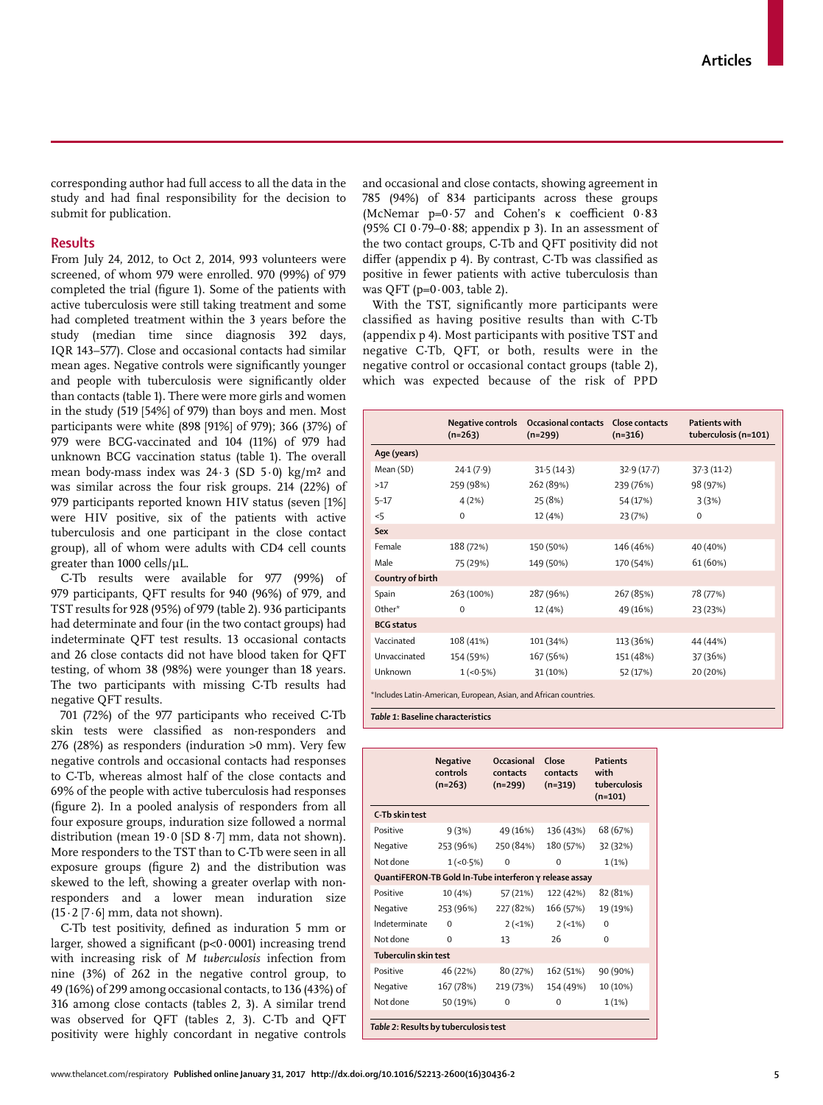corresponding author had full access to all the data in the study and had final responsibility for the decision to submit for publication.

# **Results**

From July 24, 2012, to Oct 2, 2014, 993 volunteers were screened, of whom 979 were enrolled. 970 (99%) of 979 completed the trial (figure 1). Some of the patients with active tuberculosis were still taking treatment and some had completed treatment within the 3 years before the study (median time since diagnosis 392 days, IQR 143–577). Close and occasional contacts had similar mean ages. Negative controls were significantly younger and people with tuberculosis were significantly older than contacts (table 1). There were more girls and women in the study (519 [54%] of 979) than boys and men. Most participants were white (898 [91%] of 979); 366 (37%) of 979 were BCG-vaccinated and 104 (11%) of 979 had unknown BCG vaccination status (table 1). The overall mean body-mass index was  $24.3$  (SD  $5.0$ ) kg/m<sup>2</sup> and was similar across the four risk groups. 214 (22%) of 979 participants reported known HIV status (seven [1%] were HIV positive, six of the patients with active tuberculosis and one participant in the close contact group), all of whom were adults with CD4 cell counts greater than 1000 cells/μL.

C-Tb results were available for 977 (99%) of 979 participants, QFT results for 940 (96%) of 979, and TST results for 928 (95%) of 979 (table 2). 936 participants had determinate and four (in the two contact groups) had indeterminate QFT test results. 13 occasional contacts and 26 close contacts did not have blood taken for QFT testing, of whom 38 (98%) were younger than 18 years. The two participants with missing C-Tb results had negative QFT results.

701 (72%) of the 977 participants who received C-Tb skin tests were classified as non-responders and 276 (28%) as responders (induration >0 mm). Very few negative controls and occasional contacts had responses to C-Tb, whereas almost half of the close contacts and 69% of the people with active tuberculosis had responses (figure 2). In a pooled analysis of responders from all four exposure groups, induration size followed a normal distribution (mean 19·0 [SD 8·7] mm, data not shown). More responders to the TST than to C-Tb were seen in all exposure groups (figure 2) and the distribution was skewed to the left, showing a greater overlap with nonresponders and a lower mean induration size  $(15.2 \, [7.6] \, \text{mm}, \text{data not shown}).$ 

C-Tb test positivity, defined as induration 5 mm or larger, showed a significant ( $p < 0.0001$ ) increasing trend with increasing risk of *M tuberculosis* infection from nine (3%) of 262 in the negative control group, to 49 (16%) of 299 among occasional contacts, to 136 (43%) of 316 among close contacts (tables 2, 3). A similar trend was observed for QFT (tables 2, 3). C-Tb and QFT positivity were highly concordant in negative controls and occasional and close contacts, showing agreement in 785 (94%) of 834 participants across these groups (McNemar  $p=0.57$  and Cohen's κ coefficient  $0.83$ (95% CI  $0.79-0.88$ ; appendix p 3). In an assessment of the two contact groups, C-Tb and QFT positivity did not differ (appendix  $p$  4). By contrast, C-Tb was classified as positive in fewer patients with active tuberculosis than was QFT ( $p=0.003$ , table 2).

With the TST, significantly more participants were classified as having positive results than with C-Tb (appendix p 4). Most participants with positive TST and negative C-Tb, QFT, or both, results were in the negative control or occasional contact groups (table 2), which was expected because of the risk of PPD

|                                                                                                        | Negative controls<br>$(n=263)$ | <b>Occasional contacts</b><br>$(n=299)$ | Close contacts<br>$(n=316)$ | <b>Patients with</b><br>tuberculosis (n=101) |
|--------------------------------------------------------------------------------------------------------|--------------------------------|-----------------------------------------|-----------------------------|----------------------------------------------|
| Age (years)                                                                                            |                                |                                         |                             |                                              |
| Mean (SD)                                                                                              | 24.1(7.9)                      | 31.5(14.3)                              | 32.9(17.7)                  | 37.3(11.2)                                   |
| >17                                                                                                    | 259 (98%)                      | 262 (89%)                               | 239 (76%)                   | 98 (97%)                                     |
| $5 - 17$                                                                                               | 4(2%)                          | 25 (8%)                                 | 54 (17%)                    | 3(3%)                                        |
| 5                                                                                                      | $\mathbf 0$                    | 12 (4%)                                 | 23 (7%)                     | $\mathbf 0$                                  |
| Sex                                                                                                    |                                |                                         |                             |                                              |
| Female                                                                                                 | 188 (72%)                      | 150 (50%)                               | 146 (46%)                   | 40 (40%)                                     |
| Male                                                                                                   | 75 (29%)                       | 149 (50%)                               | 170 (54%)                   | 61 (60%)                                     |
| Country of birth                                                                                       |                                |                                         |                             |                                              |
| Spain                                                                                                  | 263 (100%)                     | 287 (96%)                               | 267 (85%)                   | 78 (77%)                                     |
| Other*                                                                                                 | $\Omega$                       | 12 (4%)                                 | 49 (16%)                    | 23 (23%)                                     |
| <b>BCG</b> status                                                                                      |                                |                                         |                             |                                              |
| Vaccinated                                                                                             | 108 (41%)                      | 101 (34%)                               | 113 (36%)                   | 44 (44%)                                     |
| Unvaccinated                                                                                           | 154 (59%)                      | 167 (56%)                               | 151 (48%)                   | 37 (36%)                                     |
| Unknown                                                                                                | $1(-0.5%)$                     | 31 (10%)                                | 52 (17%)                    | 20 (20%)                                     |
| *Includes Latin-American, European, Asian, and African countries.<br>Table 1: Raseline characteristics |                                |                                         |                             |                                              |

|                                                        | <b>Negative</b>       | Occasional            | Close                 | <b>Patients</b>                   |  |
|--------------------------------------------------------|-----------------------|-----------------------|-----------------------|-----------------------------------|--|
|                                                        | controls<br>$(n=263)$ | contacts<br>$(n=299)$ | contacts<br>$(n=319)$ | with<br>tuberculosis<br>$(n=101)$ |  |
| C-Tb skin test                                         |                       |                       |                       |                                   |  |
| Positive                                               | 9(3%)                 | 49 (16%)              | 136 (43%)             | 68 (67%)                          |  |
| Negative                                               | 253 (96%)             | 250 (84%)             | 180 (57%)             | 32 (32%)                          |  |
| Not done                                               | $1(-0.5%)$            | $\Omega$              | 0                     | 1(1%)                             |  |
| QuantiFERON-TB Gold In-Tube interferon γ release assay |                       |                       |                       |                                   |  |
| Positive                                               | 10 (4%)               | 57 (21%)              | 122 (42%)             | 82 (81%)                          |  |
| Negative                                               | 253 (96%)             | 227 (82%)             | 166 (57%)             | 19 (19%)                          |  |
| Indeterminate                                          | $\Omega$              | $2(-1%)$              | $2(-1%)$              | $\Omega$                          |  |
| Not done                                               | $\Omega$              | 13                    | 26                    | $\Omega$                          |  |
| <b>Tuberculin skin test</b>                            |                       |                       |                       |                                   |  |
| Positive                                               | 46 (22%)              | 80 (27%)              | 162 (51%)             | 90 (90%)                          |  |
| Negative                                               | 167 (78%)             | 219 (73%)             | 154 (49%)             | 10 (10%)                          |  |
| Not done                                               | 50 (19%)              | $\Omega$              | $\Omega$              | 1(1%)                             |  |
| Table 2: Results by tuberculosis test                  |                       |                       |                       |                                   |  |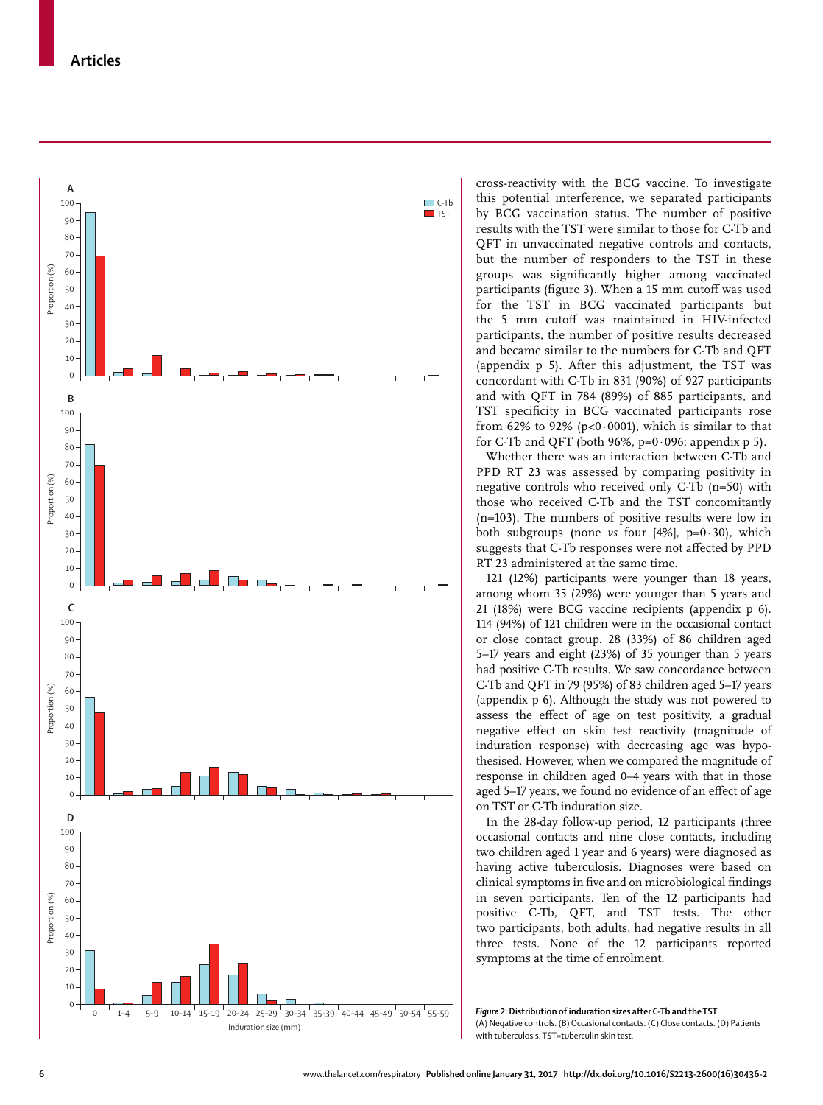

cross-reactivity with the BCG vaccine. To investigate this potential interference, we separated participants by BCG vaccination status. The number of positive results with the TST were similar to those for C-Tb and QFT in unvaccinated negative controls and contacts, but the number of responders to the TST in these groups was significantly higher among vaccinated participants (figure 3). When a 15 mm cutoff was used for the TST in BCG vaccinated participants but the 5 mm cutoff was maintained in HIV-infected participants, the number of positive results decreased and became similar to the numbers for C-Tb and QFT (appendix p 5). After this adjustment, the TST was concordant with C-Tb in 831 (90%) of 927 participants and with QFT in 784 (89%) of 885 participants, and TST specificity in BCG vaccinated participants rose from 62% to 92% ( $p<0.0001$ ), which is similar to that for C-Tb and QFT (both 96%,  $p=0.096$ ; appendix p 5).

Whether there was an interaction between C-Tb and PPD RT 23 was assessed by comparing positivity in negative controls who received only C-Tb (n=50) with those who received C-Tb and the TST concomitantly (n=103). The numbers of positive results were low in both subgroups (none  $\nu s$  four [4%],  $p=0.30$ ), which suggests that C-Tb responses were not affected by PPD RT 23 administered at the same time.

121 (12%) participants were younger than 18 years, among whom 35 (29%) were younger than 5 years and 21 (18%) were BCG vaccine recipients (appendix p 6). 114 (94%) of 121 children were in the occasional contact or close contact group. 28 (33%) of 86 children aged 5–17 years and eight (23%) of 35 younger than 5 years had positive C-Tb results. We saw concordance between C-Tb and QFT in 79 (95%) of 83 children aged 5–17 years (appendix p 6). Although the study was not powered to assess the effect of age on test positivity, a gradual negative effect on skin test reactivity (magnitude of induration response) with decreasing age was hypothesised. However, when we compared the magnitude of response in children aged 0–4 years with that in those aged 5-17 years, we found no evidence of an effect of age on TST or C-Tb induration size.

In the 28-day follow-up period, 12 participants (three occasional contacts and nine close contacts, including two children aged 1 year and 6 years) were diagnosed as having active tuberculosis. Diagnoses were based on clinical symptoms in five and on microbiological findings in seven participants. Ten of the 12 participants had positive C-Tb, QFT, and TST tests. The other two participants, both adults, had negative results in all three tests. None of the 12 participants reported symptoms at the time of enrolment.

 *Figure 2***: Distribution of induration sizes after C-Tb and the TST** (A) Negative controls. (B) Occasional contacts. (C) Close contacts. (D) Patients with tuberculosis. TST=tuberculin skin test.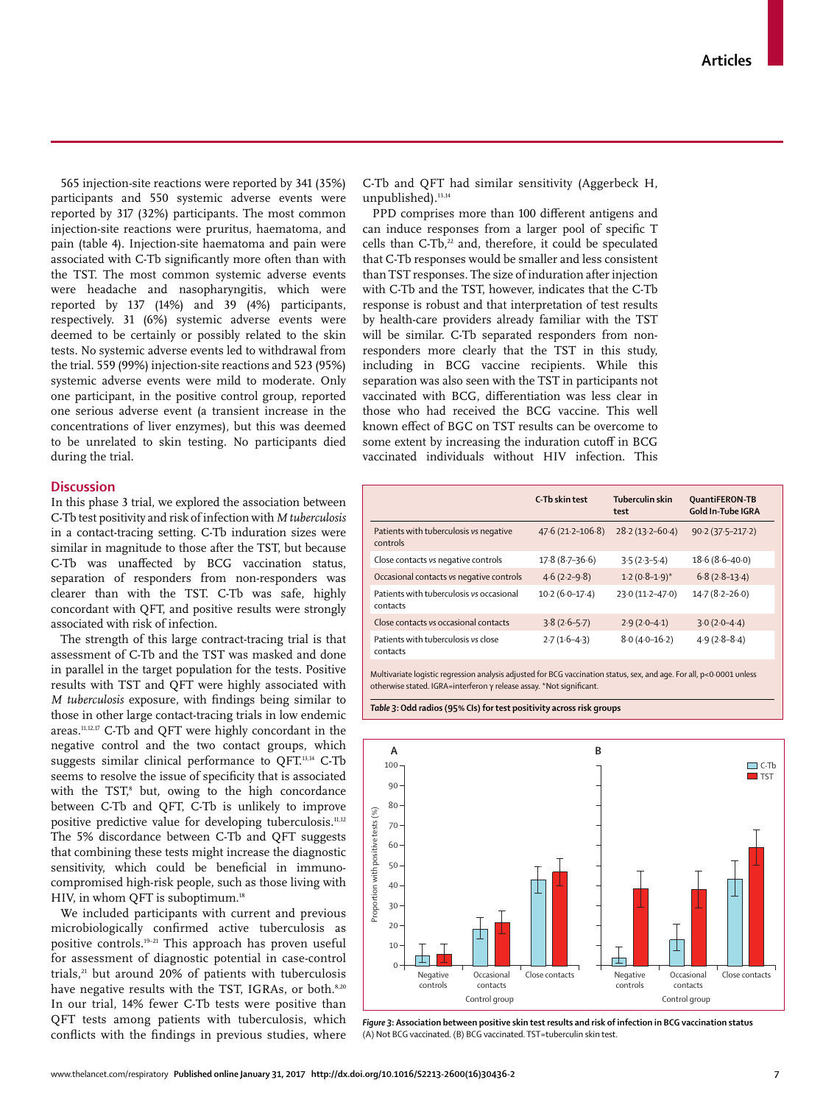www.thelancet.com/respiratory **Published online January 31, 2017 http://dx.doi.org/10.1016/S2213-2600(16)30436-2 7**

565 injection-site reactions were reported by 341 (35%) participants and 550 systemic adverse events were reported by 317 (32%) participants. The most common injection-site reactions were pruritus, haematoma, and pain (table 4). Injection-site haematoma and pain were associated with C-Tb significantly more often than with the TST. The most common systemic adverse events were headache and nasopharyngitis, which were reported by 137 (14%) and 39 (4%) participants, respectively. 31 (6%) systemic adverse events were deemed to be certainly or possibly related to the skin tests. No systemic adverse events led to withdrawal from the trial. 559 (99%) injection-site reactions and 523 (95%) systemic adverse events were mild to moderate. Only one participant, in the positive control group, reported one serious adverse event (a transient increase in the concentrations of liver enzymes), but this was deemed to be unrelated to skin testing. No participants died during the trial.

# **Discussion**

In this phase 3 trial, we explored the association between C-Tb test positivity and risk of infection with *M tuberculosis* in a contact-tracing setting. C-Tb induration sizes were similar in magnitude to those after the TST, but because C-Tb was unaffected by BCG vaccination status, separation of responders from non-responders was clearer than with the TST. C-Tb was safe, highly concordant with QFT, and positive results were strongly associated with risk of infection.

The strength of this large contract-tracing trial is that assessment of C-Tb and the TST was masked and done in parallel in the target population for the tests. Positive results with TST and QFT were highly associated with *M* tuberculosis exposure, with findings being similar to those in other large contact-tracing trials in low endemic areas.11,12,17 C-Tb and QFT were highly concordant in the negative control and the two contact groups, which suggests similar clinical performance to QFT.13,14 C-Tb seems to resolve the issue of specificity that is associated with the TST $,^8$  but, owing to the high concordance between C-Tb and QFT, C-Tb is unlikely to improve positive predictive value for developing tuberculosis. $11,12$ The 5% discordance between C-Tb and QFT suggests that combining these tests might increase the diagnostic sensitivity, which could be beneficial in immunocompromised high-risk people, such as those living with HIV, in whom QFT is suboptimum.<sup>18</sup>

We included participants with current and previous microbiologically confirmed active tuberculosis as positive controls.19–21 This approach has proven useful for assessment of diagnostic potential in case-control trials,<sup>21</sup> but around 20% of patients with tuberculosis have negative results with the TST, IGRAs, or both.<sup>8,20</sup> In our trial, 14% fewer C-Tb tests were positive than QFT tests among patients with tuberculosis, which conflicts with the findings in previous studies, where C-Tb and QFT had similar sensitivity (Aggerbeck H, unpublished).<sup>13,14</sup>

PPD comprises more than 100 different antigens and can induce responses from a larger pool of specific T cells than C-Tb,<sup>22</sup> and, therefore, it could be speculated that C-Tb responses would be smaller and less consistent than TST responses. The size of induration after injection with C-Tb and the TST, however, indicates that the C-Tb response is robust and that interpretation of test results by health-care providers already familiar with the TST will be similar. C-Tb separated responders from nonresponders more clearly that the TST in this study, including in BCG vaccine recipients. While this separation was also seen with the TST in participants not vaccinated with BCG, differentiation was less clear in those who had received the BCG vaccine. This well known effect of BGC on TST results can be overcome to some extent by increasing the induration cutoff in BCG vaccinated individuals without HIV infection. This

|                                                      | C-Tb skin test       | Tuberculin skin<br>test | QuantiFERON-TB<br>Gold In-Tube IGRA |
|------------------------------------------------------|----------------------|-------------------------|-------------------------------------|
| Patients with tuberculosis vs negative<br>controls   | $47.6(21.2 - 106.8)$ | $28.2(13.2 - 60.4)$     | $90.2(37.5 - 217.2)$                |
| Close contacts vs negative controls                  | $17.8(8.7-36.6)$     | $3.5(2.3-5.4)$          | $18.6(8.6 - 40.0)$                  |
| Occasional contacts vs negative controls             | $4.6(2.2-9.8)$       | $1.2(0.8-1.9)$ *        | $6.8(2.8-13.4)$                     |
| Patients with tuberculosis vs occasional<br>contacts | $10.2(6.0-17.4)$     | $23.0(11.2 - 47.0)$     | $14.7(8.2 - 26.0)$                  |
| Close contacts vs occasional contacts                | $3.8(2.6-5.7)$       | $2.9(2.0-4.1)$          | $3.0(2.0-4.4)$                      |
| Patients with tuberculosis vs close<br>contacts      | $2.7(1.6-4.3)$       | $8.0(4.0-16.2)$         | $4.9(2.8-8.4)$                      |

Multivariate logistic regression analysis adjusted for BCG vaccination status, sex, and age. For all, p<0·0001 unless otherwise stated. IGRA=interferon γ release assay. \*Not significant.

*Table 3***: Odd radios (95% CIs) for test positivity across risk groups** 



*Figure 3***: Association between positive skin test results and risk of infection in BCG vaccination status**  (A) Not BCG vaccinated. (B) BCG vaccinated. TST=tuberculin skin test.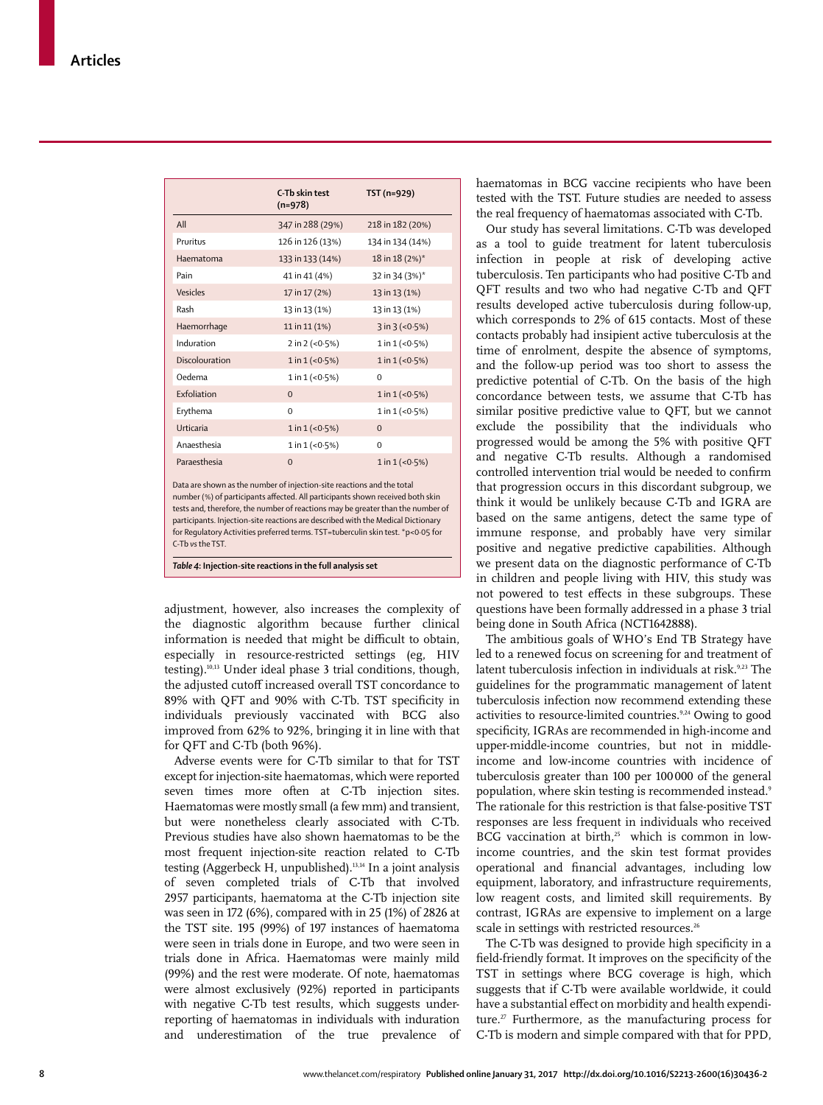|                | C-Tb skin test<br>$(n=978)$ | TST (n=929)        |
|----------------|-----------------------------|--------------------|
| All            | 347 in 288 (29%)            | 218 in 182 (20%)   |
| Pruritus       | 126 in 126 (13%)            | 134 in 134 (14%)   |
| Haematoma      | 133 in 133 (14%)            | 18 in 18 (2%)*     |
| Pain           | 41 in 41 (4%)               | 32 in 34 (3%)*     |
| Vesicles       | 17 in 17 (2%)               | 13 in 13 (1%)      |
| Rash           | 13 in 13 (1%)               | 13 in 13 (1%)      |
| Haemorrhage    | 11 in 11 (1%)               | $3 in 3 (< 0.5\%)$ |
| Induration     | 2 in $2 (-0.5%)$            | $1 in 1 (-0.5%)$   |
| Discolouration | $1 in 1 (-0.5%)$            | $1 in 1 (-0.5%)$   |
| Oedema         | 1 in $1$ (<0.5%)            | $\Omega$           |
| Exfoliation    | $\Omega$                    | $1 in 1 (-0.5%)$   |
| Erythema       | $\Omega$                    | $1 in 1 (-0.5%)$   |
| Urticaria      | 1 in $1$ (<0.5%)            | $\Omega$           |
| Anaesthesia    | 1 in $1$ (<0.5%)            | $\Omega$           |
| Paraesthesia   | $\Omega$                    | $1 in 1 (< 0.5\%)$ |

Data are shown as the number of injection-site reactions and the total number (%) of participants affected. All participants shown received both skin tests and, therefore, the number of reactions may be greater than the number of participants. Injection-site reactions are described with the Medical Dictionary for Regulatory Activities preferred terms. TST=tuberculin skin test. \*p<0·05 for C-Tb *vs* the TST.

*Table 4***: Injection-site reactions in the full analysis set** 

adjustment, however, also increases the complexity of the diagnostic algorithm because further clinical information is needed that might be difficult to obtain, especially in resource-restricted settings (eg, HIV testing).10,13 Under ideal phase 3 trial conditions, though, the adjusted cutoff increased overall TST concordance to 89% with QFT and 90% with C-Tb. TST specificity in individuals previously vaccinated with BCG also improved from 62% to 92%, bringing it in line with that for QFT and C-Tb (both 96%).

Adverse events were for C-Tb similar to that for TST except for injection-site haematomas, which were reported seven times more often at C-Tb injection sites. Haematomas were mostly small (a few mm) and transient, but were nonetheless clearly associated with C-Tb. Previous studies have also shown haematomas to be the most frequent injection-site reaction related to C-Tb testing (Aggerbeck H, unpublished).13,14 In a joint analysis of seven completed trials of C-Tb that involved 2957 participants, haematoma at the C-Tb injection site was seen in 172 (6%), compared with in 25 (1%) of 2826 at the TST site. 195 (99%) of 197 instances of haematoma were seen in trials done in Europe, and two were seen in trials done in Africa. Haematomas were mainly mild (99%) and the rest were moderate. Of note, haematomas were almost exclusively (92%) reported in participants with negative C-Tb test results, which suggests underreporting of haematomas in individuals with induration and underestimation of the true prevalence of haematomas in BCG vaccine recipients who have been tested with the TST. Future studies are needed to assess the real frequency of haematomas associated with C-Tb.

Our study has several limitations. C-Tb was developed as a tool to guide treatment for latent tuberculosis infection in people at risk of developing active tuberculosis. Ten participants who had positive C-Tb and QFT results and two who had negative C-Tb and QFT results developed active tuberculosis during follow-up, which corresponds to 2% of 615 contacts. Most of these contacts probably had insipient active tuberculosis at the time of enrolment, despite the absence of symptoms, and the follow-up period was too short to assess the predictive potential of C-Tb. On the basis of the high concordance between tests, we assume that C-Tb has similar positive predictive value to QFT, but we cannot exclude the possibility that the individuals who progressed would be among the 5% with positive QFT and negative C-Tb results. Although a randomised controlled intervention trial would be needed to confirm that progression occurs in this discordant subgroup, we think it would be unlikely because C-Tb and IGRA are based on the same antigens, detect the same type of immune response, and probably have very similar positive and negative predictive capabilities. Although we present data on the diagnostic performance of C-Tb in children and people living with HIV, this study was not powered to test effects in these subgroups. These questions have been formally addressed in a phase 3 trial being done in South Africa (NCT1642888).

The ambitious goals of WHO's End TB Strategy have led to a renewed focus on screening for and treatment of latent tuberculosis infection in individuals at risk.<sup>9,23</sup> The guidelines for the programmatic management of latent tuberculosis infection now recommend extending these activities to resource-limited countries.<sup>9,24</sup> Owing to good specificity, IGRAs are recommended in high-income and upper-middle-income countries, but not in middleincome and low-income countries with incidence of tuberculosis greater than 100 per 100 000 of the general population, where skin testing is recommended instead.9 The rationale for this restriction is that false-positive TST responses are less frequent in individuals who received BCG vaccination at birth.<sup>25</sup> which is common in lowincome countries, and the skin test format provides operational and financial advantages, including low equipment, laboratory, and infrastructure requirements, low reagent costs, and limited skill requirements. By contrast, IGRAs are expensive to implement on a large scale in settings with restricted resources.<sup>26</sup>

The C-Tb was designed to provide high specificity in a field-friendly format. It improves on the specificity of the TST in settings where BCG coverage is high, which suggests that if C-Tb were available worldwide, it could have a substantial effect on morbidity and health expenditure.<sup>27</sup> Furthermore, as the manufacturing process for C-Tb is modern and simple compared with that for PPD,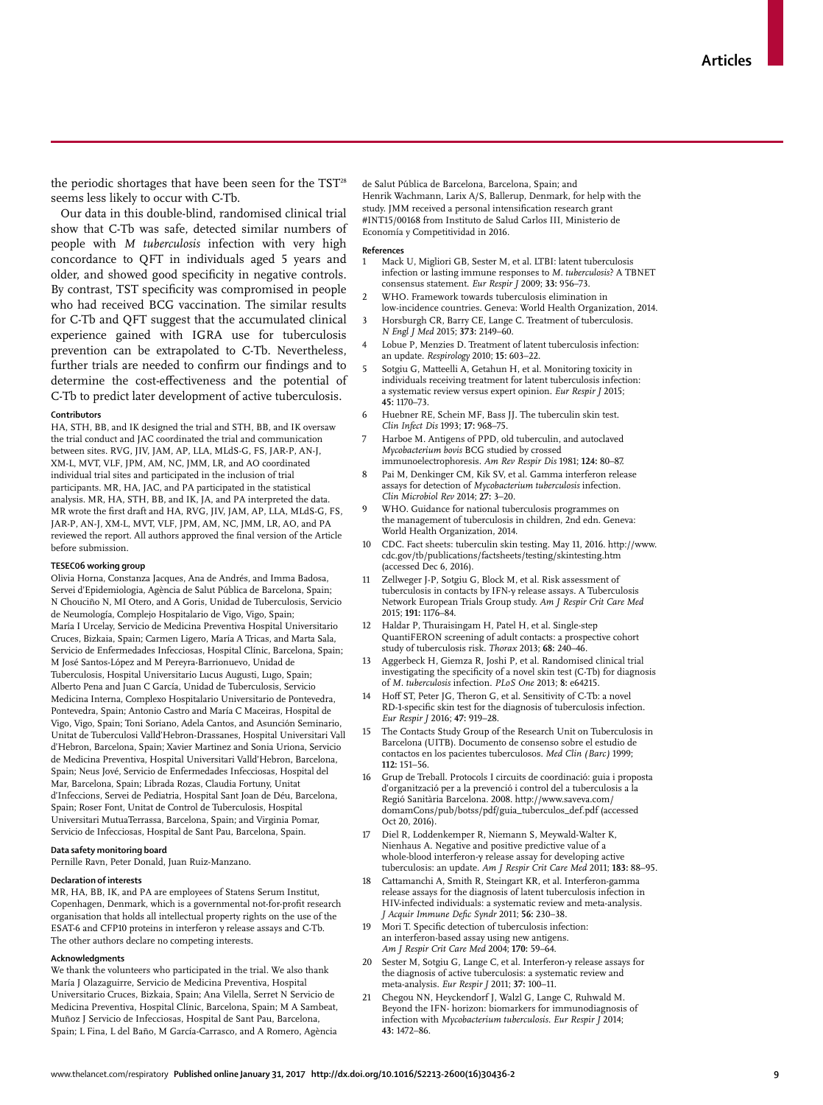the periodic shortages that have been seen for the  $TST<sup>28</sup>$ seems less likely to occur with C-Tb.

Our data in this double-blind, randomised clinical trial show that C-Tb was safe, detected similar numbers of people with *M tuberculosis* infection with very high concordance to QFT in individuals aged 5 years and older, and showed good specificity in negative controls. By contrast, TST specificity was compromised in people who had received BCG vaccination. The similar results for C-Tb and QFT suggest that the accumulated clinical experience gained with IGRA use for tuberculosis prevention can be extrapolated to C-Tb. Nevertheless, further trials are needed to confirm our findings and to determine the cost-effectiveness and the potential of C-Tb to predict later development of active tuberculosis.

#### **Contributors**

HA, STH, BB, and IK designed the trial and STH, BB, and IK oversaw the trial conduct and JAC coordinated the trial and communication between sites. RVG, JIV, JAM, AP, LLA, MLdS-G, FS, JAR-P, AN-J, XM-L, MVT, VLF, JPM, AM, NC, JMM, LR, and AO coordinated individual trial sites and participated in the inclusion of trial participants. MR, HA, JAC, and PA participated in the statistical analysis. MR, HA, STH, BB, and IK, JA, and PA interpreted the data. MR wrote the first draft and HA, RVG, JIV, JAM, AP, LLA, MLdS-G, FS, JAR-P, AN-J, XM-L, MVT, VLF, JPM, AM, NC, JMM, LR, AO, and PA reviewed the report. All authors approved the final version of the Article before submission.

#### **TESEC06 working group**

Olivia Horna, Constanza Jacques, Ana de Andrés, and Imma Badosa, Servei d'Epidemiologia, Agència de Salut Pública de Barcelona, Spain; N Chouciño N, MI Otero, and A Goris, Unidad de Tuberculosis, Servicio de Neumología, Complejo Hospitalario de Vigo, Vigo, Spain; María I Urcelay, Servicio de Medicina Preventiva Hospital Universitario Cruces, Bizkaia, Spain; Carmen Ligero, María A Tricas, and Marta Sala, Servicio de Enfermedades Infecciosas, Hospital Clínic, Barcelona, Spain; M José Santos-López and M Pereyra-Barrionuevo, Unidad de Tuberculosis, Hospital Universitario Lucus Augusti, Lugo, Spain; Alberto Pena and Juan C García, Unidad de Tuberculosis, Servicio Medicina Interna, Complexo Hospitalario Universitario de Pontevedra, Pontevedra, Spain; Antonio Castro and María C Maceiras, Hospital de Vigo, Vigo, Spain; Toni Soriano, Adela Cantos, and Asunción Seminario, Unitat de Tuberculosi Valld'Hebron-Drassanes, Hospital Universitari Vall d'Hebron, Barcelona, Spain; Xavier Martinez and Sonia Uriona, Servicio de Medicina Preventiva, Hospital Universitari Valld'Hebron, Barcelona, Spain; Neus Jové, Servicio de Enfermedades Infecciosas, Hospital del Mar, Barcelona, Spain; Librada Rozas, Claudia Fortuny, Unitat d'Infeccions, Servei de Pediatria, Hospital Sant Joan de Déu, Barcelona, Spain; Roser Font, Unitat de Control de Tuberculosis, Hospital Universitari MutuaTerrassa, Barcelona, Spain; and Virginia Pomar, Servicio de Infecciosas, Hospital de Sant Pau, Barcelona, Spain.

### **Data safety monitoring board**

Pernille Ravn, Peter Donald, Juan Ruiz-Manzano.

#### **Declaration of interests**

MR, HA, BB, IK, and PA are employees of Statens Serum Institut, Copenhagen, Denmark, which is a governmental not-for-profit research organisation that holds all intellectual property rights on the use of the ESAT-6 and CFP10 proteins in interferon γ release assays and C-Tb. The other authors declare no competing interests.

#### **Acknowledgments**

We thank the volunteers who participated in the trial. We also thank María J Olazaguirre, Servicio de Medicina Preventiva, Hospital Universitario Cruces, Bizkaia, Spain; Ana Vilella, Serret N Servicio de Medicina Preventiva, Hospital Clínic, Barcelona, Spain; M A Sambeat, Muñoz J Servicio de Infecciosas, Hospital de Sant Pau, Barcelona, Spain; L Fina, L del Baño, M García-Carrasco, and A Romero, Agència

de Salut Pública de Barcelona, Barcelona, Spain; and Henrik Wachmann, Larix A/S, Ballerup, Denmark, for help with the study. JMM received a personal intensification research grant #INT15/00168 from Instituto de Salud Carlos III, Ministerio de Economía y Competitividad in 2016.

#### **References**

- 1 Mack U, Migliori GB, Sester M, et al. LTBI: latent tuberculosis infection or lasting immune responses to *M. tuberculosis*? A TBNET consensus statement. *Eur Respir J* 2009; **33:** 956–73.
- 2 WHO. Framework towards tuberculosis elimination in low-incidence countries. Geneva: World Health Organization, 2014.
- Horsburgh CR, Barry CE, Lange C. Treatment of tuberculosis. *N Engl J Med* 2015; **373:** 2149–60.
- Lobue P, Menzies D. Treatment of latent tuberculosis infection: an update. *Respirology* 2010; **15:** 603–22.
- 5 Sotgiu G, Matteelli A, Getahun H, et al. Monitoring toxicity in individuals receiving treatment for latent tuberculosis infection: a systematic review versus expert opinion. *Eur Respir J* 2015; **45:** 1170–73.
- 6 Huebner RE, Schein MF, Bass JJ. The tuberculin skin test. *Clin Infect Dis* 1993; **17:** 968–75.
- Harboe M. Antigens of PPD, old tuberculin, and autoclaved *Mycobacterium bovis* BCG studied by crossed immunoelectrophoresis. *Am Rev Respir Dis* 1981; **124:** 80–87.
- Pai M, Denkinger CM, Kik SV, et al. Gamma interferon release assays for detection of *Mycobacterium tuberculosis* infection. *Clin Microbiol Rev* 2014; **27:** 3–20.
- 9 WHO. Guidance for national tuberculosis programmes on the management of tuberculosis in children, 2nd edn. Geneva: World Health Organization, 2014.
- 10 CDC. Fact sheets: tuberculin skin testing. May 11, 2016. http://www. cdc.gov/tb/publications/factsheets/testing/skintesting.htm (accessed Dec 6, 2016).
- 11 Zellweger J-P, Sotgiu G, Block M, et al. Risk assessment of tuberculosis in contacts by IFN-γ release assays. A Tuberculosis Network European Trials Group study. *Am J Respir Crit Care Med* 2015; **191:** 1176–84.
- 12 Haldar P, Thuraisingam H, Patel H, et al. Single-step QuantiFERON screening of adult contacts: a prospective cohort study of tuberculosis risk. *Thorax* 2013; **68:** 240–46.
- 13 Aggerbeck H, Giemza R, Joshi P, et al. Randomised clinical trial investigating the specificity of a novel skin test (C-Tb) for diagnosis of *M. tuberculosis* infection. *PLoS One* 2013; **8:** e64215.
- Hoff ST, Peter JG, Theron G, et al. Sensitivity of C-Tb: a novel RD-1-specific skin test for the diagnosis of tuberculosis infection. *Eur Respir J* 2016; **47:** 919–28.
- The Contacts Study Group of the Research Unit on Tuberculosis in Barcelona (UITB). Documento de consenso sobre el estudio de contactos en los pacientes tuberculosos. *Med Clin (Barc)* 1999; **112:** 151–56.
- 16 Grup de Treball. Protocols I circuits de coordinació: guia i proposta d'organització per a la prevenció i control del a tuberculosis a la Regió Sanitària Barcelona. 2008. http://www.saveva.com/ domamCons/pub/botss/pdf/guia\_tuberculos\_def.pdf (accessed Oct 20, 2016).
- 17 Diel R, Loddenkemper R, Niemann S, Meywald-Walter K, Nienhaus A. Negative and positive predictive value of a whole-blood interferon-γ release assay for developing active tuberculosis: an update. *Am J Respir Crit Care Med* 2011; **183:** 88–95.
- Cattamanchi A, Smith R, Steingart KR, et al. Interferon-gamma release assays for the diagnosis of latent tuberculosis infection in HIV-infected individuals: a systematic review and meta-analysis. *J Acquir Immune Defi c Syndr* 2011; **56:** 230–38.
- 19 Mori T. Specific detection of tuberculosis infection: an interferon-based assay using new antigens. *Am J Respir Crit Care Med* 2004; **170:** 59–64.
- 20 Sester M, Sotgiu G, Lange C, et al. Interferon-γ release assays for the diagnosis of active tuberculosis: a systematic review and meta-analysis. *Eur Respir J* 2011; **37:** 100–11.
- 21 Chegou NN, Heyckendorf J, Walzl G, Lange C, Ruhwald M. Beyond the IFN- horizon: biomarkers for immunodiagnosis of infection with *Mycobacterium tuberculosis*. *Eur Respir J* 2014; **43:** 1472–86.